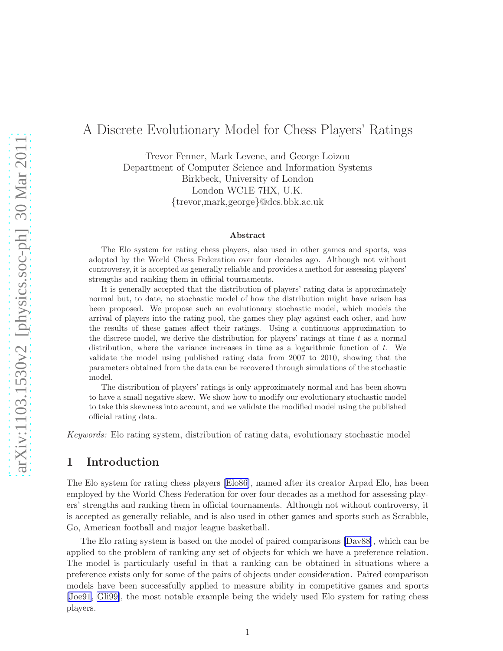# A Discrete Evolutionary Model for Chess Players' Ratings

Trevor Fenner, Mark Levene, and George Loizou Department of Computer Science and Information Systems Birkbeck, University of London London WC1E 7HX, U.K. {trevor,mark,george}@dcs.bbk.ac.uk

#### Abstract

The Elo system for rating chess players, also used in other games and sports, was adopted by the World Chess Federation over four decades ago. Although not without controversy, it is accepted as generally reliable and provides a method for assessing players' strengths and ranking them in official tournaments.

It is generally accepted that the distribution of players' rating data is approximately normal but, to date, no stochastic model of how the distribution might have arisen has been proposed. We propose such an evolutionary stochastic model, which models the arrival of players into the rating pool, the games they play against each other, and how the results of these games affect their ratings. Using a continuous approximation to the discrete model, we derive the distribution for players' ratings at time  $t$  as a normal distribution, where the variance increases in time as a logarithmic function of  $t$ . We validate the model using published rating data from 2007 to 2010, showing that the parameters obtained from the data can be recovered through simulations of the stochastic model.

The distribution of players' ratings is only approximately normal and has been shown to have a small negative skew. We show how to modify our evolutionary stochastic model to take this skewness into account, and we validate the modified model using the published official rating data.

Keywords: Elo rating system, distribution of rating data, evolutionary stochastic model

#### 1 Introduction

The Elo system for rating chess players[[Elo86\]](#page-15-0), named after its creator Arpad Elo, has been employed by the World Chess Federation for over four decades as a method for assessing players' strengths and ranking them in official tournaments. Although not without controversy, it is accepted as generally reliable, and is also used in other games and sports such as Scrabble, Go, American football and major league basketball.

The Elo rating system is based on the model of paired comparisons [\[Dav88](#page-14-0)], which can be applied to the problem of ranking any set of objects for which we have a preference relation. The model is particularly useful in that a ranking can be obtained in situations where a preference exists only for some of the pairs of objects under consideration. Paired comparison models have been successfully applied to measure ability in competitive games and sports [\[Joe91](#page-15-0), [Gli99\]](#page-15-0), the most notable example being the widely used Elo system for rating chess players.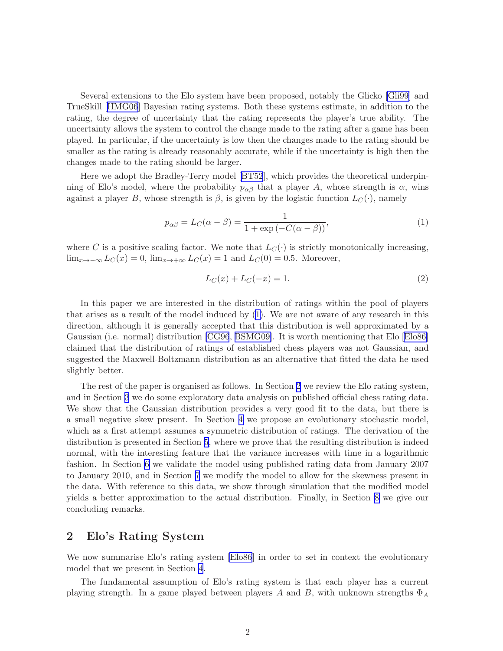<span id="page-1-0"></span>Several extensions to the Elo system have been proposed, notably the Glicko [\[Gli99\]](#page-15-0) and TrueSkill[[HMG06](#page-15-0)] Bayesian rating systems. Both these systems estimate, in addition to the rating, the degree of uncertainty that the rating represents the player's true ability. The uncertainty allows the system to control the change made to the rating after a game has been played. In particular, if the uncertainty is low then the changes made to the rating should be smaller as the rating is already reasonably accurate, while if the uncertainty is high then the changes made to the rating should be larger.

Here we adopt the Bradley-Terry model[[BT52](#page-14-0)], which provides the theoretical underpinning of Elo's model, where the probability  $p_{\alpha\beta}$  that a player A, whose strength is  $\alpha$ , wins against a player B, whose strength is  $\beta$ , is given by the logistic function  $L_C(\cdot)$ , namely

$$
p_{\alpha\beta} = L_C(\alpha - \beta) = \frac{1}{1 + \exp(-C(\alpha - \beta))},\tag{1}
$$

where C is a positive scaling factor. We note that  $L_C(\cdot)$  is strictly monotonically increasing,  $\lim_{x\to-\infty} L_C(x) = 0$ ,  $\lim_{x\to+\infty} L_C(x) = 1$  and  $L_C(0) = 0.5$ . Moreover,

$$
L_C(x) + L_C(-x) = 1.
$$
 (2)

In this paper we are interested in the distribution of ratings within the pool of players that arises as a result of the model induced by (1). We are not aware of any research in this direction, although it is generally accepted that this distribution is well approximated by a Gaussian (i.e. normal) distribution [\[CG96](#page-14-0), [BSMG09\]](#page-14-0). It is worth mentioning that Elo [\[Elo86\]](#page-15-0) claimed that the distribution of ratings of established chess players was not Gaussian, and suggested the Maxwell-Boltzmann distribution as an alternative that fitted the data he used slightly better.

The rest of the paper is organised as follows. In Section 2 we review the Elo rating system, and in Section [3](#page-2-0) we do some exploratory data analysis on published official chess rating data. We show that the Gaussian distribution provides a very good fit to the data, but there is a small negative skew present. In Section [4](#page-5-0) we propose an evolutionary stochastic model, which as a first attempt assumes a symmetric distribution of ratings. The derivation of the distribution is presented in Section [5](#page-8-0), where we prove that the resulting distribution is indeed normal, with the interesting feature that the variance increases with time in a logarithmic fashion. In Section [6](#page-10-0) we validate the model using published rating data from January 2007 to January 2010, and in Section [7](#page-12-0) we modify the model to allow for the skewness present in the data. With reference to this data, we show through simulation that the modified model yields a better approximation to the actual distribution. Finally, in Section [8](#page-13-0) we give our concluding remarks.

#### 2 Elo's Rating System

We now summarise Elo's rating system [\[Elo86](#page-15-0)] in order to set in context the evolutionary model that we present in Section [4](#page-5-0).

The fundamental assumption of Elo's rating system is that each player has a current playing strength. In a game played between players A and B, with unknown strengths  $\Phi_A$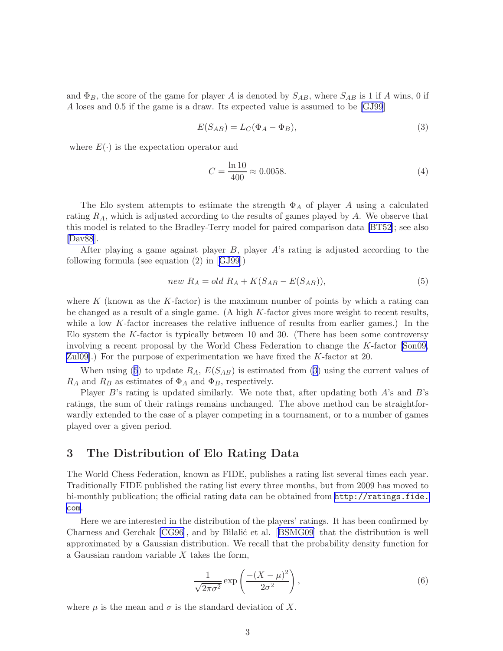<span id="page-2-0"></span>and  $\Phi_B$ , the score of the game for player A is denoted by  $S_{AB}$ , where  $S_{AB}$  is 1 if A wins, 0 if A loses and 0.5 if the game is a draw. Its expected value is assumed to be [\[GJ99](#page-15-0)]

$$
E(S_{AB}) = L_C(\Phi_A - \Phi_B),\tag{3}
$$

where  $E(\cdot)$  is the expectation operator and

$$
C = \frac{\ln 10}{400} \approx 0.0058. \tag{4}
$$

The Elo system attempts to estimate the strength  $\Phi_A$  of player A using a calculated rating  $R_A$ , which is adjusted according to the results of games played by  $A$ . We observe that this model is related to the Bradley-Terry model for paired comparison data [\[BT52\]](#page-14-0); see also [\[Dav88](#page-14-0)].

After playing a game against player  $B$ , player  $A$ 's rating is adjusted according to the following formula (see equation (2) in[[GJ99\]](#page-15-0))

$$
new R_A = old R_A + K(S_{AB} - E(S_{AB})),
$$
\n<sup>(5)</sup>

where K (known as the K-factor) is the maximum number of points by which a rating can be changed as a result of a single game. (A high K-factor gives more weight to recent results, while a low K-factor increases the relative influence of results from earlier games.) In the Elo system the K-factor is typically between 10 and 30. (There has been some controversy involving a recent proposal by the World Chess Federation to change the K-factor [\[Son09](#page-16-0), [Zul09\]](#page-16-0).) For the purpose of experimentation we have fixed the K-factor at 20.

When using (5) to update  $R_A$ ,  $E(S_{AB})$  is estimated from (3) using the current values of  $R_A$  and  $R_B$  as estimates of  $\Phi_A$  and  $\Phi_B$ , respectively.

Player  $B$ 's rating is updated similarly. We note that, after updating both  $A$ 's and  $B$ 's ratings, the sum of their ratings remains unchanged. The above method can be straightforwardly extended to the case of a player competing in a tournament, or to a number of games played over a given period.

### 3 The Distribution of Elo Rating Data

The World Chess Federation, known as FIDE, publishes a rating list several times each year. Traditionally FIDE published the rating list every three months, but from 2009 has moved to bi-monthly publication; the official rating data can be obtained from [http://ratings.fide.](http://ratings.fide.com) [com](http://ratings.fide.com).

Here we are interested in the distribution of the players' ratings. It has been confirmed by Charness and Gerchak [\[CG96\]](#page-14-0),and by Bilalić et al. [[BSMG09](#page-14-0)] that the distribution is well approximated by a Gaussian distribution. We recall that the probability density function for a Gaussian random variable  $X$  takes the form,

$$
\frac{1}{\sqrt{2\pi\sigma^2}} \exp\left(\frac{-(X-\mu)^2}{2\sigma^2}\right),\tag{6}
$$

where  $\mu$  is the mean and  $\sigma$  is the standard deviation of X.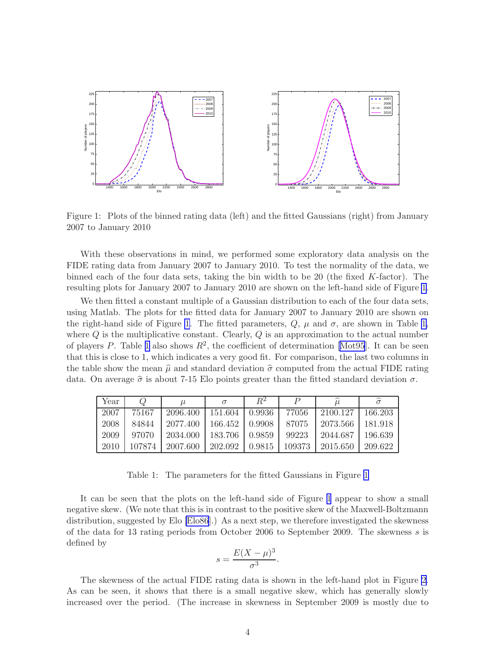<span id="page-3-0"></span>

Figure 1: Plots of the binned rating data (left) and the fitted Gaussians (right) from January 2007 to January 2010

With these observations in mind, we performed some exploratory data analysis on the FIDE rating data from January 2007 to January 2010. To test the normality of the data, we binned each of the four data sets, taking the bin width to be 20 (the fixed K-factor). The resulting plots for January 2007 to January 2010 are shown on the left-hand side of Figure 1.

We then fitted a constant multiple of a Gaussian distribution to each of the four data sets, using Matlab. The plots for the fitted data for January 2007 to January 2010 are shown on the right-hand side of Figure 1. The fitted parameters,  $Q$ ,  $\mu$  and  $\sigma$ , are shown in Table 1, where  $Q$  is the multiplicative constant. Clearly,  $Q$  is an approximation to the actual number ofplayers P. Table 1 also shows  $R^2$ , the coefficient of determination [[Mot95](#page-15-0)]. It can be seen that this is close to 1, which indicates a very good fit. For comparison, the last two columns in the table show the mean  $\hat{\mu}$  and standard deviation  $\hat{\sigma}$  computed from the actual FIDE rating data. On average  $\hat{\sigma}$  is about 7-15 Elo points greater than the fitted standard deviation  $\sigma$ .

| Year | Ο      | $\mu$    |         | $R^2$  |        |          |         |
|------|--------|----------|---------|--------|--------|----------|---------|
| 2007 | 75167  | 2096.400 | 151.604 | 0.9936 | 77056  | 2100.127 | 166.203 |
| 2008 | 84844  | 2077.400 | 166.452 | 0.9908 | 87075  | 2073.566 | 181.918 |
| 2009 | 97070  | 2034.000 | 183.706 | 0.9859 | 99223  | 2044.687 | 196.639 |
| 2010 | 107874 | 2007.600 | 202.092 | 0.9815 | 109373 | 2015.650 | 209.622 |

Table 1: The parameters for the fitted Gaussians in Figure 1

It can be seen that the plots on the left-hand side of Figure 1 appear to show a small negative skew. (We note that this is in contrast to the positive skew of the Maxwell-Boltzmann distribution, suggested by Elo [\[Elo86](#page-15-0)].) As a next step, we therefore investigated the skewness of the data for 13 rating periods from October 2006 to September 2009. The skewness s is defined by

$$
s = \frac{E(X - \mu)^3}{\sigma^3}.
$$

The skewness of the actual FIDE rating data is shown in the left-hand plot in Figure [2.](#page-4-0) As can be seen, it shows that there is a small negative skew, which has generally slowly increased over the period. (The increase in skewness in September 2009 is mostly due to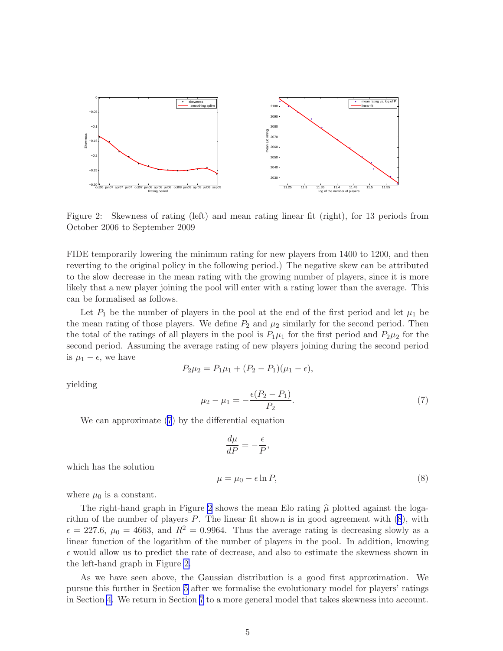<span id="page-4-0"></span>

Figure 2: Skewness of rating (left) and mean rating linear fit (right), for 13 periods from October 2006 to September 2009

FIDE temporarily lowering the minimum rating for new players from 1400 to 1200, and then reverting to the original policy in the following period.) The negative skew can be attributed to the slow decrease in the mean rating with the growing number of players, since it is more likely that a new player joining the pool will enter with a rating lower than the average. This can be formalised as follows.

Let  $P_1$  be the number of players in the pool at the end of the first period and let  $\mu_1$  be the mean rating of those players. We define  $P_2$  and  $\mu_2$  similarly for the second period. Then the total of the ratings of all players in the pool is  $P_1\mu_1$  for the first period and  $P_2\mu_2$  for the second period. Assuming the average rating of new players joining during the second period is  $\mu_1 - \epsilon$ , we have

$$
P_2\mu_2 = P_1\mu_1 + (P_2 - P_1)(\mu_1 - \epsilon),
$$

yielding

$$
\mu_2 - \mu_1 = -\frac{\epsilon (P_2 - P_1)}{P_2}.\tag{7}
$$

We can approximate (7) by the differential equation

$$
\frac{d\mu}{dP} = -\frac{\epsilon}{P},
$$

which has the solution

$$
\mu = \mu_0 - \epsilon \ln P,\tag{8}
$$

where  $\mu_0$  is a constant.

The right-hand graph in Figure 2 shows the mean Elo rating  $\hat{\mu}$  plotted against the logarithm of the number of players  $P$ . The linear fit shown is in good agreement with  $(8)$ , with  $\epsilon = 227.6$ ,  $\mu_0 = 4663$ , and  $R^2 = 0.9964$ . Thus the average rating is decreasing slowly as a linear function of the logarithm of the number of players in the pool. In addition, knowing  $\epsilon$  would allow us to predict the rate of decrease, and also to estimate the skewness shown in the left-hand graph in Figure 2.

As we have seen above, the Gaussian distribution is a good first approximation. We pursue this further in Section [5](#page-8-0) after we formalise the evolutionary model for players' ratings in Section [4.](#page-5-0) We return in Section [7](#page-12-0) to a more general model that takes skewness into account.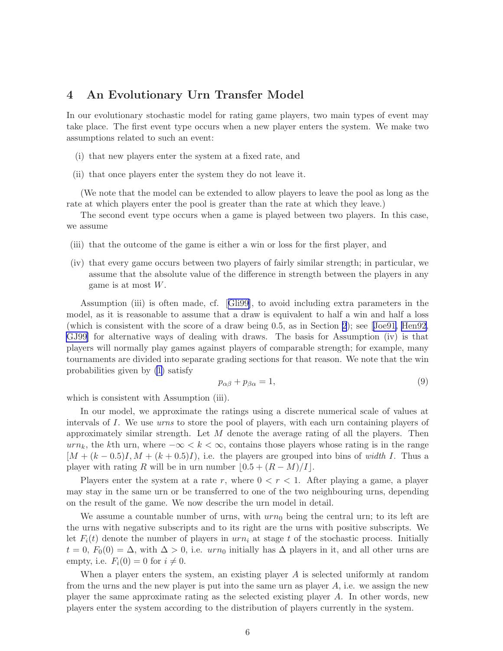### <span id="page-5-0"></span>4 An Evolutionary Urn Transfer Model

In our evolutionary stochastic model for rating game players, two main types of event may take place. The first event type occurs when a new player enters the system. We make two assumptions related to such an event:

- (i) that new players enter the system at a fixed rate, and
- (ii) that once players enter the system they do not leave it.

(We note that the model can be extended to allow players to leave the pool as long as the rate at which players enter the pool is greater than the rate at which they leave.)

The second event type occurs when a game is played between two players. In this case, we assume

- (iii) that the outcome of the game is either a win or loss for the first player, and
- (iv) that every game occurs between two players of fairly similar strength; in particular, we assume that the absolute value of the difference in strength between the players in any game is at most  $W$ .

Assumption (iii) is often made, cf.[[Gli99](#page-15-0)], to avoid including extra parameters in the model, as it is reasonable to assume that a draw is equivalent to half a win and half a loss (which is consistent with the score of a draw being 0.5, as in Section [2](#page-1-0)); see[[Joe91, Hen92](#page-15-0), [GJ99](#page-15-0)] for alternative ways of dealing with draws. The basis for Assumption (iv) is that players will normally play games against players of comparable strength; for example, many tournaments are divided into separate grading sections for that reason. We note that the win probabilities given by [\(1\)](#page-1-0) satisfy

$$
p_{\alpha\beta} + p_{\beta\alpha} = 1,\tag{9}
$$

which is consistent with Assumption (iii).

In our model, we approximate the ratings using a discrete numerical scale of values at intervals of I. We use urns to store the pool of players, with each urn containing players of approximately similar strength. Let  $M$  denote the average rating of all the players. Then  $urn_k$ , the kth urn, where  $-\infty < k < \infty$ , contains those players whose rating is in the range  $[M + (k - 0.5)I, M + (k + 0.5)I]$ , i.e. the players are grouped into bins of width I. Thus a player with rating R will be in urn number  $(0.5 + (R - M)/I)$ .

Players enter the system at a rate r, where  $0 < r < 1$ . After playing a game, a player may stay in the same urn or be transferred to one of the two neighbouring urns, depending on the result of the game. We now describe the urn model in detail.

We assume a countable number of urns, with  $urn_0$  being the central urn; to its left are the urns with negative subscripts and to its right are the urns with positive subscripts. We let  $F_i(t)$  denote the number of players in  $urn_i$  at stage t of the stochastic process. Initially  $t = 0$ ,  $F_0(0) = \Delta$ , with  $\Delta > 0$ , i.e.  $urn_0$  initially has  $\Delta$  players in it, and all other urns are empty, i.e.  $F_i(0) = 0$  for  $i \neq 0$ .

When a player enters the system, an existing player A is selected uniformly at random from the urns and the new player is put into the same urn as player A, i.e. we assign the new player the same approximate rating as the selected existing player A. In other words, new players enter the system according to the distribution of players currently in the system.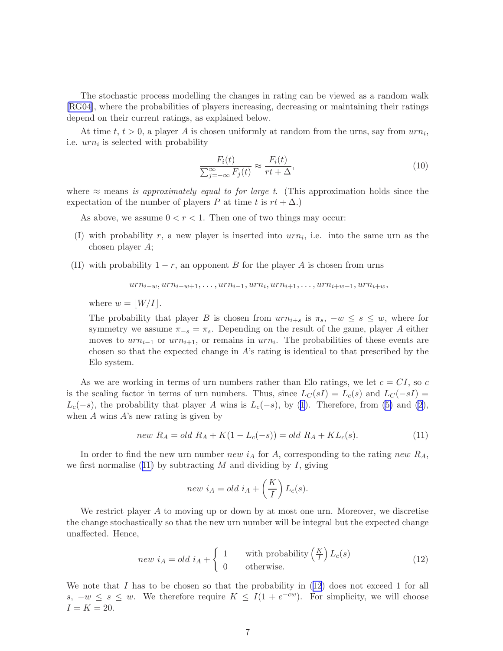<span id="page-6-0"></span>The stochastic process modelling the changes in rating can be viewed as a random walk [\[RG04](#page-16-0)], where the probabilities of players increasing, decreasing or maintaining their ratings depend on their current ratings, as explained below.

At time  $t, t > 0$ , a player A is chosen uniformly at random from the urns, say from  $urn_i$ , i.e.  $urn_i$  is selected with probability

$$
\frac{F_i(t)}{\sum_{j=-\infty}^{\infty} F_j(t)} \approx \frac{F_i(t)}{rt + \Delta},\tag{10}
$$

where  $\approx$  means is approximately equal to for large t. (This approximation holds since the expectation of the number of players P at time t is  $rt + \Delta$ .)

As above, we assume  $0 < r < 1$ . Then one of two things may occur:

- (I) with probability r, a new player is inserted into  $urn_i$ , i.e. into the same urn as the chosen player A;
- (II) with probability  $1 r$ , an opponent B for the player A is chosen from urns

$$
urn_{i-w}, urn_{i-w+1}, \ldots, urn_{i-1}, urn_{i}, urn_{i+1}, \ldots, urn_{i+w-1}, urn_{i+w},
$$

where  $w = |W/I|$ .

The probability that player B is chosen from  $urn_{i+s}$  is  $\pi_s$ ,  $-w \leq s \leq w$ , where for symmetry we assume  $\pi_{-s} = \pi_s$ . Depending on the result of the game, player A either moves to  $urn_{i-1}$  or  $urn_{i+1}$ , or remains in  $urn_i$ . The probabilities of these events are chosen so that the expected change in  $A$ 's rating is identical to that prescribed by the Elo system.

As we are working in terms of urn numbers rather than Elo ratings, we let  $c = CI$ , so c is the scaling factor in terms of urn numbers. Thus, since  $L_C(sI) = L_c(s)$  and  $L_C(-sI) =$  $L_c(-s)$ ,the probability that player A wins is  $L_c(-s)$ , by ([1](#page-1-0)). Therefore, from [\(5\)](#page-2-0) and [\(2\)](#page-1-0), when  $A$  wins  $A$ 's new rating is given by

$$
new \ R_A = old \ R_A + K(1 - L_c(-s)) = old \ R_A + KL_c(s). \tag{11}
$$

In order to find the new urn number new  $i_A$  for A, corresponding to the rating new  $R_A$ , we first normalise  $(11)$  by subtracting M and dividing by I, giving

$$
new iA = old iA + \left(\frac{K}{I}\right) Lc(s).
$$

We restrict player A to moving up or down by at most one urn. Moreover, we discretise the change stochastically so that the new urn number will be integral but the expected change unaffected. Hence,

$$
new iA = old iA + \begin{cases} 1 & \text{with probability } (\frac{K}{I}) Lc(s) \\ 0 & \text{otherwise.} \end{cases}
$$
 (12)

We note that I has to be chosen so that the probability in  $(12)$  does not exceed 1 for all s,  $-w \leq s \leq w$ . We therefore require  $K \leq I(1 + e^{-cw})$ . For simplicity, we will choose  $I = K = 20.$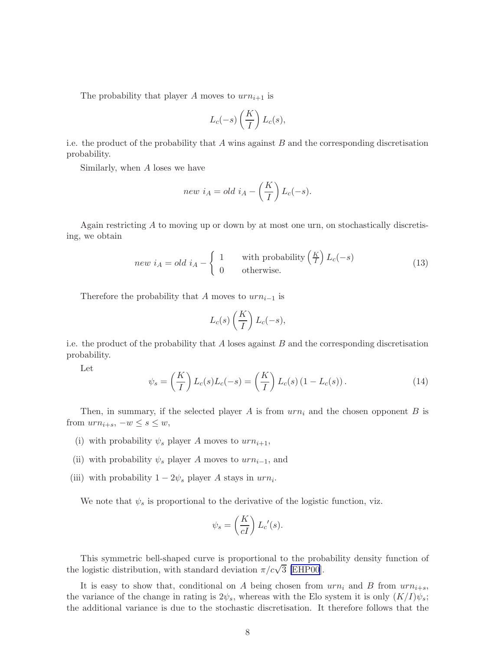<span id="page-7-0"></span>The probability that player A moves to  $urn_{i+1}$  is

$$
L_c(-s)\left(\frac{K}{I}\right)L_c(s),
$$

i.e. the product of the probability that  $A$  wins against  $B$  and the corresponding discretisation probability.

Similarly, when A loses we have

$$
new iA = old iA - \left(\frac{K}{I}\right) Lc(-s).
$$

Again restricting A to moving up or down by at most one urn, on stochastically discretising, we obtain

$$
new iA = old iA - \begin{cases} 1 & \text{with probability } (\frac{K}{I}) L_c(-s) \\ 0 & \text{otherwise.} \end{cases}
$$
 (13)

Therefore the probability that A moves to  $urn_{i-1}$  is

$$
L_c(s) \left(\frac{K}{I}\right) L_c(-s),
$$

i.e. the product of the probability that  $A$  loses against  $B$  and the corresponding discretisation probability.

Let

$$
\psi_s = \left(\frac{K}{I}\right) L_c(s) L_c(-s) = \left(\frac{K}{I}\right) L_c(s) \left(1 - L_c(s)\right). \tag{14}
$$

Then, in summary, if the selected player A is from  $urn_i$  and the chosen opponent B is from  $urn_{i+s}$ ,  $-w \leq s \leq w$ ,

- (i) with probability  $\psi_s$  player A moves to  $urn_{i+1}$ ,
- (ii) with probability  $\psi_s$  player A moves to  $urn_{i-1}$ , and
- (iii) with probability  $1 2\psi_s$  player A stays in  $urn_i$ .

We note that  $\psi_s$  is proportional to the derivative of the logistic function, viz.

$$
\psi_s = \left(\frac{K}{cI}\right) L_c'(s).
$$

This symmetric bell-shaped curve is proportional to the probability density function of the logistic distribution, with standard deviation  $\pi/c\sqrt{3}$  [\[EHP00](#page-15-0)].

It is easy to show that, conditional on A being chosen from  $urn_i$  and B from  $urn_{i+s}$ , the variance of the change in rating is  $2\psi_s$ , whereas with the Elo system it is only  $(K/I)\psi_s$ ; the additional variance is due to the stochastic discretisation. It therefore follows that the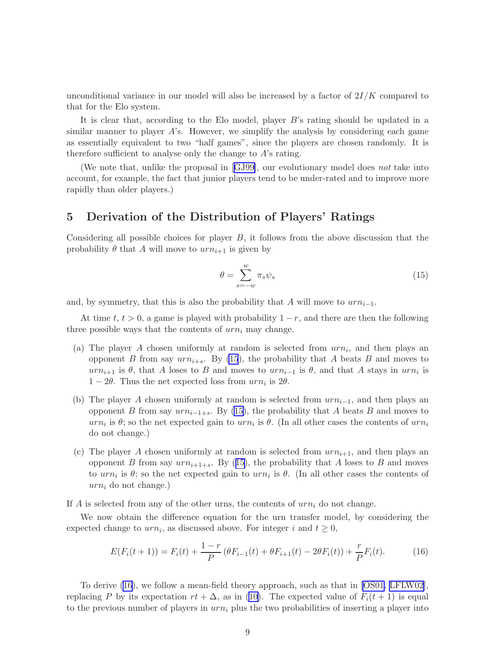<span id="page-8-0"></span>unconditional variance in our model will also be increased by a factor of  $2I/K$  compared to that for the Elo system.

It is clear that, according to the Elo model, player B's rating should be updated in a similar manner to player  $A$ 's. However, we simplify the analysis by considering each game as essentially equivalent to two "half games", since the players are chosen randomly. It is therefore sufficient to analyse only the change to A's rating.

(We note that, unlike the proposal in[[GJ99\]](#page-15-0), our evolutionary model does not take into account, for example, the fact that junior players tend to be under-rated and to improve more rapidly than older players.)

#### 5 Derivation of the Distribution of Players' Ratings

Considering all possible choices for player B, it follows from the above discussion that the probability  $\theta$  that A will move to  $urn_{i+1}$  is given by

$$
\theta = \sum_{s=-w}^{w} \pi_s \psi_s \tag{15}
$$

and, by symmetry, that this is also the probability that A will move to  $urn_{i-1}$ .

At time t,  $t > 0$ , a game is played with probability  $1 - r$ , and there are then the following three possible ways that the contents of  $urn_i$  may change.

- (a) The player A chosen uniformly at random is selected from  $urn_i$ , and then plays an opponent B from say  $urn_{i+s}$ . By (15), the probability that A beats B and moves to  $urn_{i+1}$  is  $\theta$ , that A loses to B and moves to  $urn_{i-1}$  is  $\theta$ , and that A stays in  $urn_i$  is  $1 - 2\theta$ . Thus the net expected loss from  $urn_i$  is  $2\theta$ .
- (b) The player A chosen uniformly at random is selected from  $urn_{i-1}$ , and then plays an opponent B from say  $urn_{i-1+s}$ . By (15), the probability that A beats B and moves to  $urn_i$  is  $\theta$ ; so the net expected gain to  $urn_i$  is  $\theta$ . (In all other cases the contents of  $urn_i$ do not change.)
- (c) The player A chosen uniformly at random is selected from  $urn_{i+1}$ , and then plays an opponent B from say  $urn_{i+1+s}$ . By (15), the probability that A loses to B and moves to  $urn_i$  is  $\theta$ ; so the net expected gain to  $urn_i$  is  $\theta$ . (In all other cases the contents of  $urn_i$  do not change.)

If A is selected from any of the other urns, the contents of  $urn<sub>i</sub>$  do not change.

We now obtain the difference equation for the urn transfer model, by considering the expected change to  $urn_i$ , as discussed above. For integer i and  $t \geq 0$ ,

$$
E(F_i(t+1)) = F_i(t) + \frac{1-r}{P} (\theta F_{i-1}(t) + \theta F_{i+1}(t) - 2\theta F_i(t)) + \frac{r}{P} F_i(t).
$$
 (16)

To derive (16), we follow a mean-field theory approach, such as that in [\[OS01, LFLW02\]](#page-15-0), replacing P by its expectation  $rt + \Delta$ , as in [\(10\)](#page-6-0). The expected value of  $F_i(t + 1)$  is equal to the previous number of players in  $urn_i$  plus the two probabilities of inserting a player into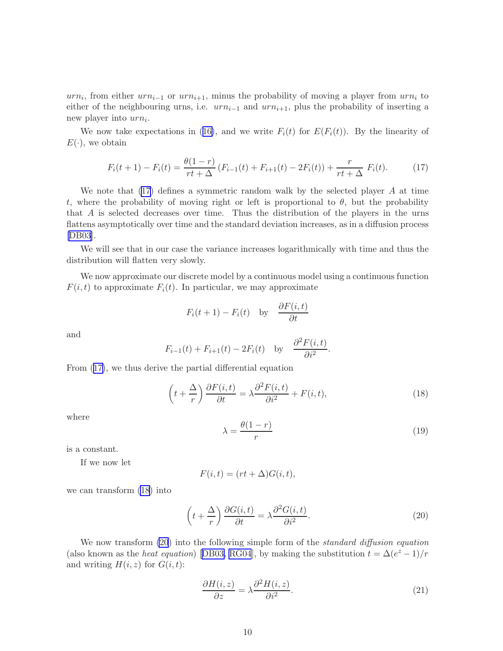<span id="page-9-0"></span> $urn_i$ , from either  $urn_{i-1}$  or  $urn_{i+1}$ , minus the probability of moving a player from  $urn_i$  to either of the neighbouring urns, i.e.  $urn_{i-1}$  and  $urn_{i+1}$ , plus the probability of inserting a new player into  $urn_i$ .

Wenow take expectations in ([16\)](#page-8-0), and we write  $F_i(t)$  for  $E(F_i(t))$ . By the linearity of  $E(\cdot)$ , we obtain

$$
F_i(t+1) - F_i(t) = \frac{\theta(1-r)}{rt + \Delta} (F_{i-1}(t) + F_{i+1}(t) - 2F_i(t)) + \frac{r}{rt + \Delta} F_i(t).
$$
 (17)

We note that  $(17)$  defines a symmetric random walk by the selected player A at time t, where the probability of moving right or left is proportional to  $\theta$ , but the probability that A is selected decreases over time. Thus the distribution of the players in the urns flattens asymptotically over time and the standard deviation increases, as in a diffusion process [\[DB03](#page-14-0)].

We will see that in our case the variance increases logarithmically with time and thus the distribution will flatten very slowly.

We now approximate our discrete model by a continuous model using a continuous function  $F(i, t)$  to approximate  $F_i(t)$ . In particular, we may approximate

$$
F_i(t+1) - F_i(t)
$$
 by  $\frac{\partial F(i,t)}{\partial t}$ 

and

$$
F_{i-1}(t) + F_{i+1}(t) - 2F_i(t)
$$
 by  $\frac{\partial^2 F(i, t)}{\partial i^2}$ .

From (17), we thus derive the partial differential equation

$$
\left(t + \frac{\Delta}{r}\right) \frac{\partial F(i, t)}{\partial t} = \lambda \frac{\partial^2 F(i, t)}{\partial i^2} + F(i, t),\tag{18}
$$

where

$$
\lambda = \frac{\theta(1-r)}{r} \tag{19}
$$

is a constant.

If we now let

$$
F(i,t) = (rt + \Delta)G(i,t),
$$

we can transform (18) into

$$
\left(t + \frac{\Delta}{r}\right) \frac{\partial G(i, t)}{\partial t} = \lambda \frac{\partial^2 G(i, t)}{\partial i^2}.
$$
\n(20)

We now transform (20) into the following simple form of the *standard diffusion equation* (alsoknown as the *heat equation*) [[DB03,](#page-14-0) [RG04](#page-16-0)], by making the substitution  $t = \Delta(e^z - 1)/r$ and writing  $H(i, z)$  for  $G(i, t)$ :

$$
\frac{\partial H(i,z)}{\partial z} = \lambda \frac{\partial^2 H(i,z)}{\partial i^2}.
$$
\n(21)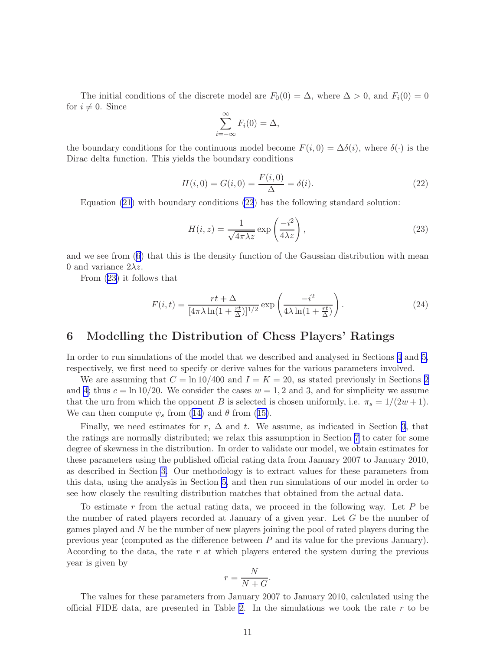<span id="page-10-0"></span>The initial conditions of the discrete model are  $F_0(0) = \Delta$ , where  $\Delta > 0$ , and  $F_i(0) = 0$ for  $i \neq 0$ . Since

$$
\sum_{i=-\infty}^{\infty} F_i(0) = \Delta,
$$

the boundary conditions for the continuous model become  $F(i, 0) = \Delta\delta(i)$ , where  $\delta(\cdot)$  is the Dirac delta function. This yields the boundary conditions

$$
H(i,0) = G(i,0) = \frac{F(i,0)}{\Delta} = \delta(i).
$$
 (22)

Equation [\(21](#page-9-0)) with boundary conditions (22) has the following standard solution:

$$
H(i, z) = \frac{1}{\sqrt{4\pi\lambda z}} \exp\left(\frac{-i^2}{4\lambda z}\right),\tag{23}
$$

and we see from([6](#page-2-0)) that this is the density function of the Gaussian distribution with mean 0 and variance  $2\lambda z$ .

From (23) it follows that

$$
F(i,t) = \frac{rt + \Delta}{[4\pi\lambda\ln(1 + \frac{rt}{\Delta})]^{1/2}} \exp\left(\frac{-i^2}{4\lambda\ln(1 + \frac{rt}{\Delta})}\right).
$$
 (24)

#### 6 Modelling the Distribution of Chess Players' Ratings

In order to run simulations of the model that we described and analysed in Sections [4](#page-5-0) and [5,](#page-8-0) respectively, we first need to specify or derive values for the various parameters involved.

We are assuming that  $C = \ln 10/400$  and  $I = K = 20$  $I = K = 20$  $I = K = 20$ , as stated previously in Sections 2 and [4](#page-5-0); thus  $c = \ln 10/20$ . We consider the cases  $w = 1, 2$  and 3, and for simplicity we assume that the urn from which the opponent B is selected is chosen uniformly, i.e.  $\pi_s = 1/(2w+1)$ . We can then compute  $\psi_s$  from [\(14\)](#page-7-0) and  $\theta$  from [\(15\)](#page-8-0).

Finally, we need estimates for  $r, \Delta$  and t. We assume, as indicated in Section [3](#page-2-0), that the ratings are normally distributed; we relax this assumption in Section [7](#page-12-0) to cater for some degree of skewness in the distribution. In order to validate our model, we obtain estimates for these parameters using the published official rating data from January 2007 to January 2010, as described in Section [3.](#page-2-0) Our methodology is to extract values for these parameters from this data, using the analysis in Section [5,](#page-8-0) and then run simulations of our model in order to see how closely the resulting distribution matches that obtained from the actual data.

To estimate r from the actual rating data, we proceed in the following way. Let  $P$  be the number of rated players recorded at January of a given year. Let G be the number of games played and N be the number of new players joining the pool of rated players during the previous year (computed as the difference between P and its value for the previous January). According to the data, the rate  $r$  at which players entered the system during the previous year is given by

$$
r = \frac{N}{N+G}.
$$

The values for these parameters from January 2007 to January 2010, calculated using the official FIDE data, are presented in Table [2.](#page-11-0) In the simulations we took the rate  $r$  to be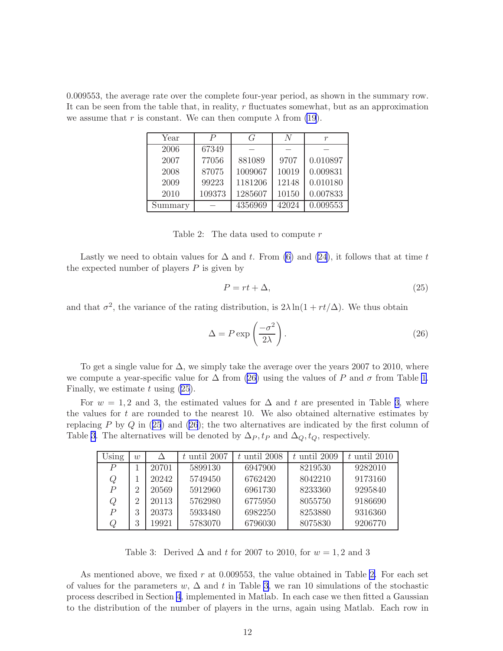<span id="page-11-0"></span>0.009553, the average rate over the complete four-year period, as shown in the summary row. It can be seen from the table that, in reality,  $r$  fluctuates somewhat, but as an approximation we assume that r is constant. We can then compute  $\lambda$  from [\(19](#page-9-0)).

| Year    | P      | G       | N     |          |
|---------|--------|---------|-------|----------|
| 2006    | 67349  |         |       |          |
| 2007    | 77056  | 881089  | 9707  | 0.010897 |
| 2008    | 87075  | 1009067 | 10019 | 0.009831 |
| 2009    | 99223  | 1181206 | 12148 | 0.010180 |
| 2010    | 109373 | 1285607 | 10150 | 0.007833 |
| Summary |        | 4356969 | 42024 | 0.009553 |

Table 2: The data used to compute  $r$ 

Lastly we need to obtain values for  $\Delta$  and t. From [\(6\)](#page-2-0) and [\(24](#page-10-0)), it follows that at time t the expected number of players  $P$  is given by

$$
P = rt + \Delta,\tag{25}
$$

and that  $\sigma^2$ , the variance of the rating distribution, is  $2\lambda \ln(1 + rt/\Delta)$ . We thus obtain

$$
\Delta = P \exp\left(\frac{-\sigma^2}{2\lambda}\right). \tag{26}
$$

To get a single value for  $\Delta$ , we simply take the average over the years 2007 to 2010, where we compute a year-specific value for  $\Delta$  from (26) using the values of P and  $\sigma$  from Table [1.](#page-3-0) Finally, we estimate  $t$  using  $(25)$ .

For  $w = 1, 2$  and 3, the estimated values for  $\Delta$  and t are presented in Table 3, where the values for  $t$  are rounded to the nearest 10. We also obtained alternative estimates by replacing P by  $Q$  in (25) and (26); the two alternatives are indicated by the first column of Table 3. The alternatives will be denoted by  $\Delta_P, t_P$  and  $\Delta_Q, t_Q$ , respectively.

| Using            | w              |       | $t$ until 2007 | $t$ until 2008 | $t$ until 2009 | $t$ until 2010 |
|------------------|----------------|-------|----------------|----------------|----------------|----------------|
| $\boldsymbol{P}$ |                | 20701 | 5899130        | 6947900        | 8219530        | 9282010        |
| Q                |                | 20242 | 5749450        | 6762420        | 8042210        | 9173160        |
| $\overline{P}$   | $\overline{2}$ | 20569 | 5912960        | 6961730        | 8233360        | 9295840        |
| Q                | $\overline{2}$ | 20113 | 5762980        | 6775950        | 8055750        | 9186690        |
| $\overline{P}$   | 3              | 20373 | 5933480        | 6982250        | 8253880        | 9316360        |
| Q                | 3              | 19921 | 5783070        | 6796030        | 8075830        | 9206770        |

Table 3: Derived  $\Delta$  and t for 2007 to 2010, for  $w = 1, 2$  and 3

As mentioned above, we fixed  $r$  at 0.009553, the value obtained in Table 2. For each set of values for the parameters w,  $\Delta$  and t in Table 3, we ran 10 simulations of the stochastic process described in Section [4](#page-5-0), implemented in Matlab. In each case we then fitted a Gaussian to the distribution of the number of players in the urns, again using Matlab. Each row in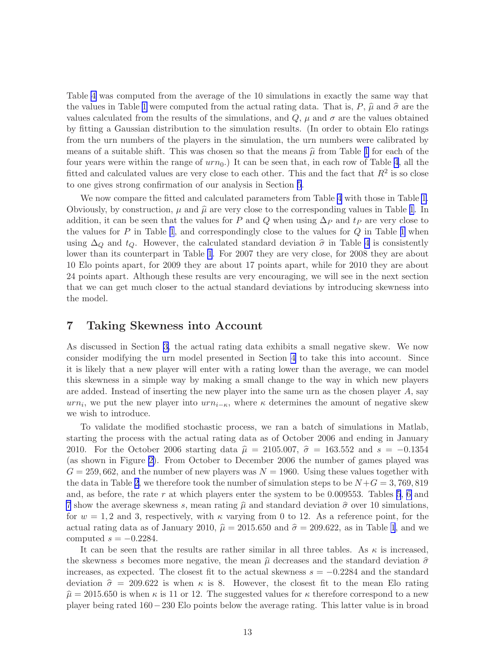<span id="page-12-0"></span>Table [4](#page-13-0) was computed from the average of the 10 simulations in exactly the same way that the values in Table [1](#page-3-0) were computed from the actual rating data. That is,  $P, \hat{\mu}$  and  $\hat{\sigma}$  are the values calculated from the results of the simulations, and  $Q$ ,  $\mu$  and  $\sigma$  are the values obtained by fitting a Gaussian distribution to the simulation results. (In order to obtain Elo ratings from the urn numbers of the players in the simulation, the urn numbers were calibrated by means of a suitable shift. This was chosen so that the means  $\hat{\mu}$  from Table [1](#page-3-0) for each of the four years were within the range of  $urn_0$ .) It can be seen that, in each row of Table [4](#page-13-0), all the fitted and calculated values are very close to each other. This and the fact that  $R^2$  is so close to one gives strong confirmation of our analysis in Section [5](#page-8-0).

We now compare the fitted and calculated parameters from Table [4](#page-13-0) with those in Table [1.](#page-3-0) Obviously, by construction,  $\mu$  and  $\hat{\mu}$  are very close to the corresponding values in Table [1](#page-3-0). In addition, it can be seen that the values for P and Q when using  $\Delta_P$  and  $t_P$  are very close to the values for  $P$  in Table [1](#page-3-0), and correspondingly close to the values for  $Q$  in Table 1 when using  $\Delta_Q$  and  $t_Q$ . However, the calculated standard deviation  $\hat{\sigma}$  in Table [4](#page-13-0) is consistently lower than its counterpart in Table [1](#page-3-0). For 2007 they are very close, for 2008 they are about 10 Elo points apart, for 2009 they are about 17 points apart, while for 2010 they are about 24 points apart. Although these results are very encouraging, we will see in the next section that we can get much closer to the actual standard deviations by introducing skewness into the model.

#### 7 Taking Skewness into Account

As discussed in Section [3,](#page-2-0) the actual rating data exhibits a small negative skew. We now consider modifying the urn model presented in Section [4](#page-5-0) to take this into account. Since it is likely that a new player will enter with a rating lower than the average, we can model this skewness in a simple way by making a small change to the way in which new players are added. Instead of inserting the new player into the same urn as the chosen player  $A$ , say  $urn_i$ , we put the new player into  $urn_{i-\kappa}$ , where  $\kappa$  determines the amount of negative skew we wish to introduce.

To validate the modified stochastic process, we ran a batch of simulations in Matlab, starting the process with the actual rating data as of October 2006 and ending in January 2010. For the October 2006 starting data  $\hat{\mu} = 2105.007$ ,  $\hat{\sigma} = 163.552$  and  $s = -0.1354$ (as shown in Figure [2\)](#page-4-0). From October to December 2006 the number of games played was  $G = 259,662$ , and the number of new players was  $N = 1960$ . Using these values together with the data in Table [2,](#page-11-0) we therefore took the number of simulation steps to be  $N+G = 3,769,819$ and, as before, the rate r at which players enter the system to be  $0.009553$ . Tables [5](#page-14-0), [6](#page-15-0) and [7](#page-16-0) show the average skewness s, mean rating  $\hat{\mu}$  and standard deviation  $\hat{\sigma}$  over 10 simulations, for  $w = 1, 2$  and 3, respectively, with  $\kappa$  varying from 0 to 12. As a reference point, for the actual rating data as of January 2010,  $\hat{\mu} = 2015.650$  and  $\hat{\sigma} = 209.622$ , as in Table [1](#page-3-0), and we computed  $s = -0.2284$ .

It can be seen that the results are rather similar in all three tables. As  $\kappa$  is increased, the skewness s becomes more negative, the mean  $\hat{\mu}$  decreases and the standard deviation  $\hat{\sigma}$ increases, as expected. The closest fit to the actual skewness  $s = -0.2284$  and the standard deviation  $\hat{\sigma} = 209.622$  is when  $\kappa$  is 8. However, the closest fit to the mean Elo rating  $\hat{\mu} = 2015.650$  is when  $\kappa$  is 11 or 12. The suggested values for  $\kappa$  therefore correspond to a new player being rated 160−230 Elo points below the average rating. This latter value is in broad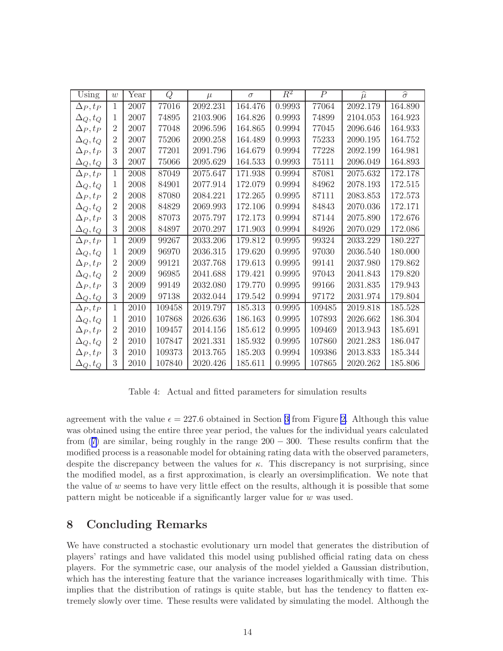<span id="page-13-0"></span>

| Using           | w              | Year | Q      | $\mu$        | $\sigma$ | $R^2$      | $\overline{P}$ | $\widehat{\mu}$ | $\widehat{\sigma}$ |
|-----------------|----------------|------|--------|--------------|----------|------------|----------------|-----------------|--------------------|
| $\Delta_P, t_P$ | $\mathbf{1}$   | 2007 | 77016  | 2092.231     | 164.476  | 0.9993     | 77064          | 2092.179        | 164.890            |
| $\Delta_Q, t_Q$ | 1              | 2007 | 74895  | $2103.906\,$ | 164.826  | 0.9993     | 74899          | 2104.053        | 164.923            |
| $\Delta_P, t_P$ | $\overline{2}$ | 2007 | 77048  | 2096.596     | 164.865  | 0.9994     | 77045          | 2096.646        | 164.933            |
| $\Delta_Q, t_Q$ | $\overline{2}$ | 2007 | 75206  | 2090.258     | 164.489  | 0.9993     | 75233          | 2090.195        | 164.752            |
| $\Delta_P, t_P$ | 3              | 2007 | 77201  | 2091.796     | 164.679  | 0.9994     | 77228          | 2092.199        | 164.981            |
| $\Delta_Q, t_Q$ | 3              | 2007 | 75066  | 2095.629     | 164.533  | 0.9993     | 75111          | 2096.049        | 164.893            |
| $\Delta_P, t_P$ | $\mathbf{1}$   | 2008 | 87049  | 2075.647     | 171.938  | 0.9994     | 87081          | 2075.632        | 172.178            |
| $\Delta_Q, t_Q$ | 1              | 2008 | 84901  | 2077.914     | 172.079  | 0.9994     | 84962          | 2078.193        | 172.515            |
| $\Delta_P, t_P$ | $\overline{2}$ | 2008 | 87080  | 2084.221     | 172.265  | $0.9995\,$ | 87111          | 2083.853        | 172.573            |
| $\Delta_Q, t_Q$ | $\overline{2}$ | 2008 | 84829  | 2069.993     | 172.106  | 0.9994     | 84843          | 2070.036        | 172.171            |
| $\Delta_P, t_P$ | 3              | 2008 | 87073  | 2075.797     | 172.173  | 0.9994     | 87144          | 2075.890        | 172.676            |
| $\Delta_Q, t_Q$ | 3              | 2008 | 84897  | 2070.297     | 171.903  | 0.9994     | 84926          | 2070.029        | 172.086            |
| $\Delta_P, t_P$ | 1              | 2009 | 99267  | 2033.206     | 179.812  | 0.9995     | 99324          | 2033.229        | 180.227            |
| $\Delta_Q, t_Q$ | 1              | 2009 | 96970  | 2036.315     | 179.620  | 0.9995     | 97030          | 2036.540        | 180.000            |
| $\Delta_P, t_P$ | $\overline{2}$ | 2009 | 99121  | 2037.768     | 179.613  | 0.9995     | 99141          | 2037.980        | 179.862            |
| $\Delta_Q, t_Q$ | $\overline{2}$ | 2009 | 96985  | 2041.688     | 179.421  | 0.9995     | 97043          | 2041.843        | 179.820            |
| $\Delta_P, t_P$ | 3              | 2009 | 99149  | 2032.080     | 179.770  | 0.9995     | 99166          | 2031.835        | 179.943            |
| $\Delta_Q, t_Q$ | 3              | 2009 | 97138  | 2032.044     | 179.542  | 0.9994     | 97172          | 2031.974        | 179.804            |
| $\Delta_P, t_P$ | 1              | 2010 | 109458 | 2019.797     | 185.313  | 0.9995     | 109485         | 2019.818        | 185.528            |
| $\Delta_Q, t_Q$ | 1              | 2010 | 107868 | 2026.636     | 186.163  | 0.9995     | 107893         | 2026.662        | 186.304            |
| $\Delta_P, t_P$ | $\overline{2}$ | 2010 | 109457 | 2014.156     | 185.612  | 0.9995     | 109469         | 2013.943        | 185.691            |
| $\Delta_Q, t_Q$ | $\overline{2}$ | 2010 | 107847 | 2021.331     | 185.932  | 0.9995     | 107860         | 2021.283        | 186.047            |
| $\Delta_P, t_P$ | 3              | 2010 | 109373 | 2013.765     | 185.203  | 0.9994     | 109386         | 2013.833        | 185.344            |
| $\Delta_Q, t_Q$ | 3              | 2010 | 107840 | 2020.426     | 185.611  | 0.9995     | 107865         | 2020.262        | 185.806            |

Table 4: Actual and fitted parameters for simulation results

agreement with the value  $\epsilon = 227.6$  obtained in Section [3](#page-2-0) from Figure [2.](#page-4-0) Although this value was obtained using the entire three year period, the values for the individual years calculated from([7\)](#page-4-0) are similar, being roughly in the range  $200 - 300$ . These results confirm that the modified process is a reasonable model for obtaining rating data with the observed parameters, despite the discrepancy between the values for  $\kappa$ . This discrepancy is not surprising, since the modified model, as a first approximation, is clearly an oversimplification. We note that the value of  $w$  seems to have very little effect on the results, although it is possible that some pattern might be noticeable if a significantly larger value for  $w$  was used.

## 8 Concluding Remarks

We have constructed a stochastic evolutionary urn model that generates the distribution of players' ratings and have validated this model using published official rating data on chess players. For the symmetric case, our analysis of the model yielded a Gaussian distribution, which has the interesting feature that the variance increases logarithmically with time. This implies that the distribution of ratings is quite stable, but has the tendency to flatten extremely slowly over time. These results were validated by simulating the model. Although the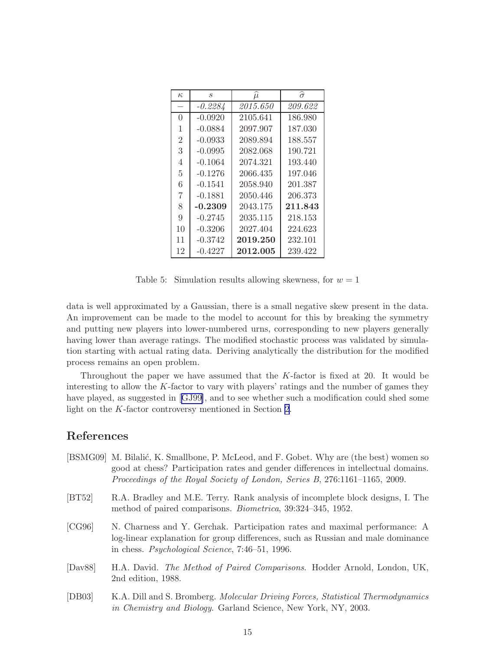<span id="page-14-0"></span>

| $\kappa$       | S         | $\mu$    | $\widehat{\sigma}$ |
|----------------|-----------|----------|--------------------|
|                | $-0.2284$ | 2015.650 | 209.622            |
| $\Omega$       | $-0.0920$ | 2105.641 | 186.980            |
| 1              | $-0.0884$ | 2097.907 | 187.030            |
| $\overline{2}$ | $-0.0933$ | 2089.894 | 188.557            |
| 3              | $-0.0995$ | 2082.068 | 190.721            |
| 4              | $-0.1064$ | 2074.321 | 193.440            |
| 5              | $-0.1276$ | 2066.435 | 197.046            |
| 6              | $-0.1541$ | 2058.940 | 201.387            |
| 7              | $-0.1881$ | 2050.446 | 206.373            |
| 8              | $-0.2309$ | 2043.175 | 211.843            |
| 9              | $-0.2745$ | 2035.115 | 218.153            |
| 10             | $-0.3206$ | 2027.404 | 224.623            |
| 11             | $-0.3742$ | 2019.250 | 232.101            |
| 12             | $-0.4227$ | 2012.005 | 239.422            |

Table 5: Simulation results allowing skewness, for  $w = 1$ 

data is well approximated by a Gaussian, there is a small negative skew present in the data. An improvement can be made to the model to account for this by breaking the symmetry and putting new players into lower-numbered urns, corresponding to new players generally having lower than average ratings. The modified stochastic process was validated by simulation starting with actual rating data. Deriving analytically the distribution for the modified process remains an open problem.

Throughout the paper we have assumed that the  $K$ -factor is fixed at 20. It would be interesting to allow the  $K$ -factor to vary with players' ratings and the number of games they have played, as suggested in[[GJ99](#page-15-0)], and to see whether such a modification could shed some light on the K-factor controversy mentioned in Section [2](#page-1-0).

## References

- [BSMG09] M. Bilalić, K. Smallbone, P. McLeod, and F. Gobet. Why are (the best) women so good at chess? Participation rates and gender differences in intellectual domains. Proceedings of the Royal Society of London, Series B, 276:1161–1165, 2009.
- [BT52] R.A. Bradley and M.E. Terry. Rank analysis of incomplete block designs, I. The method of paired comparisons. Biometrica, 39:324–345, 1952.
- [CG96] N. Charness and Y. Gerchak. Participation rates and maximal performance: A log-linear explanation for group differences, such as Russian and male dominance in chess. Psychological Science, 7:46–51, 1996.
- [Dav88] H.A. David. The Method of Paired Comparisons. Hodder Arnold, London, UK, 2nd edition, 1988.
- [DB03] K.A. Dill and S. Bromberg. Molecular Driving Forces, Statistical Thermodynamics in Chemistry and Biology. Garland Science, New York, NY, 2003.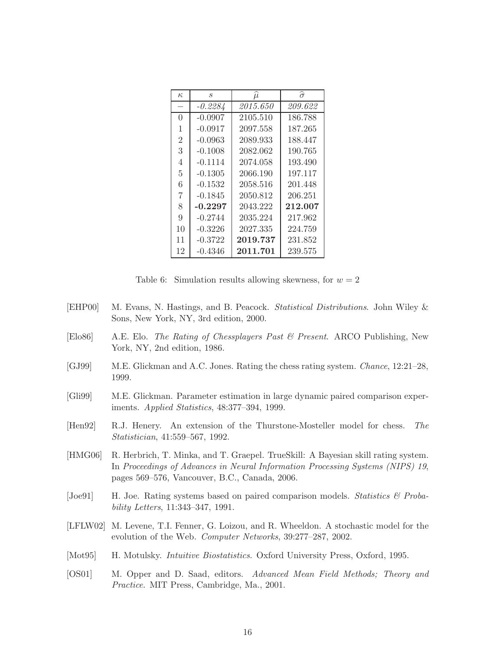<span id="page-15-0"></span>

| $\kappa$       | $\mathcal{S}_{0}$ | $\hat{\mu}$ | $\widehat{\sigma}$ |
|----------------|-------------------|-------------|--------------------|
|                | $-0.2284$         | 2015.650    | 209.622            |
| 0              | $-0.0907$         | 2105.510    | 186.788            |
| 1              | $-0.0917$         | 2097.558    | 187.265            |
| $\overline{2}$ | $-0.0963$         | 2089.933    | 188.447            |
| 3              | $-0.1008$         | 2082.062    | 190.765            |
| 4              | $-0.1114$         | 2074.058    | 193.490            |
| 5              | $-0.1305$         | 2066.190    | 197.117            |
| 6              | $-0.1532$         | 2058.516    | 201.448            |
| 7              | $-0.1845$         | 2050.812    | 206.251            |
| 8              | $-0.2297$         | 2043.222    | 212.007            |
| 9              | $-0.2744$         | 2035.224    | 217.962            |
| 10             | $-0.3226$         | 2027.335    | 224.759            |
| 11             | $-0.3722$         | 2019.737    | 231.852            |
| 12             | $-0.4346$         | 2011.701    | 239.575            |

Table 6: Simulation results allowing skewness, for  $w = 2$ 

- [EHP00] M. Evans, N. Hastings, and B. Peacock. Statistical Distributions. John Wiley & Sons, New York, NY, 3rd edition, 2000.
- [Elo86] A.E. Elo. The Rating of Chessplayers Past & Present. ARCO Publishing, New York, NY, 2nd edition, 1986.
- [GJ99] M.E. Glickman and A.C. Jones. Rating the chess rating system. Chance, 12:21–28, 1999.
- [Gli99] M.E. Glickman. Parameter estimation in large dynamic paired comparison experiments. Applied Statistics, 48:377–394, 1999.
- [Hen92] R.J. Henery. An extension of the Thurstone-Mosteller model for chess. The Statistician, 41:559–567, 1992.
- [HMG06] R. Herbrich, T. Minka, and T. Graepel. TrueSkill: A Bayesian skill rating system. In Proceedings of Advances in Neural Information Processing Systems (NIPS) 19, pages 569–576, Vancouver, B.C., Canada, 2006.
- [Joe91] H. Joe. Rating systems based on paired comparison models. Statistics & Probability Letters, 11:343–347, 1991.
- [LFLW02] M. Levene, T.I. Fenner, G. Loizou, and R. Wheeldon. A stochastic model for the evolution of the Web. Computer Networks, 39:277–287, 2002.
- [Mot95] H. Motulsky. *Intuitive Biostatistics*. Oxford University Press, Oxford, 1995.
- [OS01] M. Opper and D. Saad, editors. Advanced Mean Field Methods; Theory and Practice. MIT Press, Cambridge, Ma., 2001.